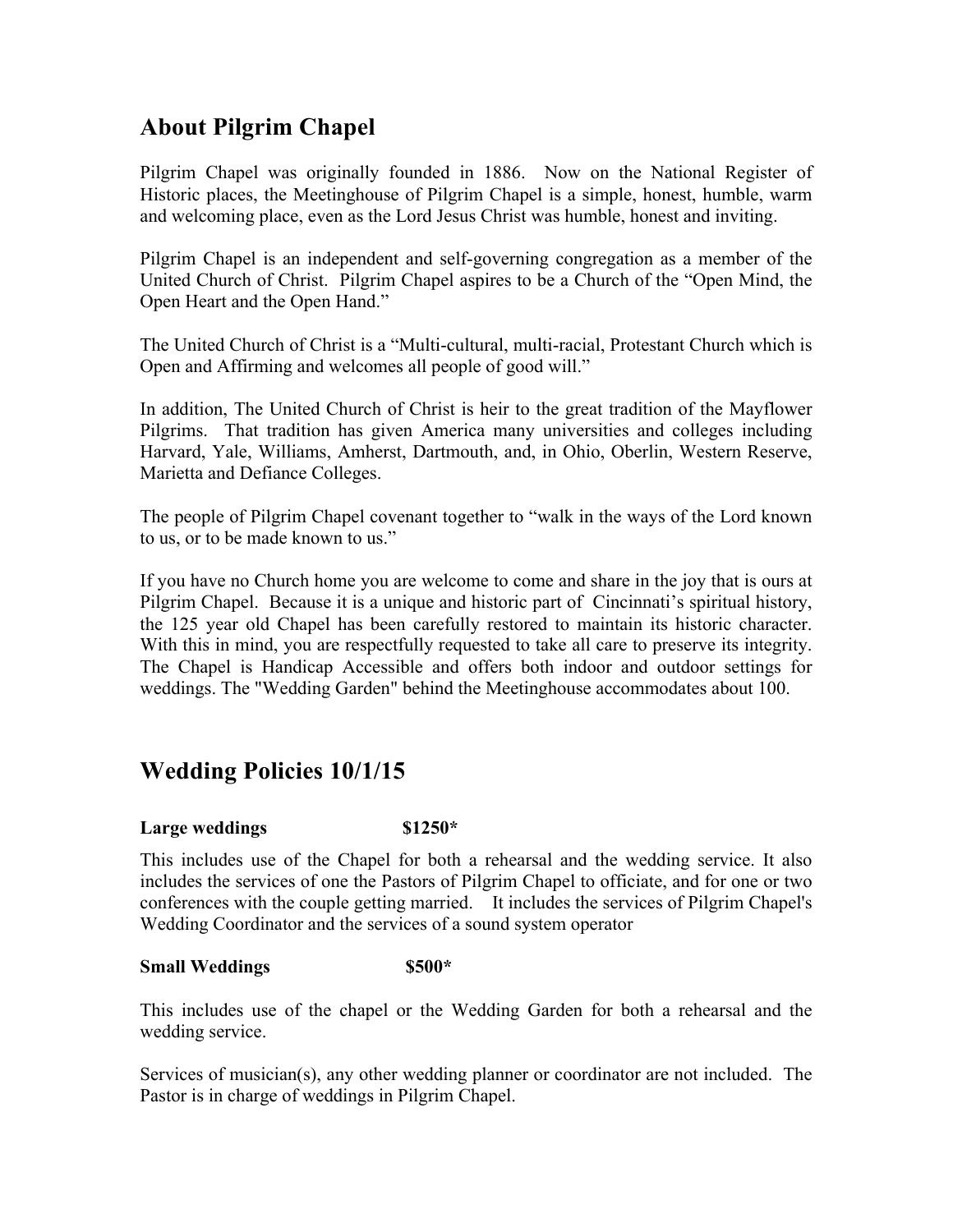# **About Pilgrim Chapel**

Pilgrim Chapel was originally founded in 1886. Now on the National Register of Historic places, the Meetinghouse of Pilgrim Chapel is a simple, honest, humble, warm and welcoming place, even as the Lord Jesus Christ was humble, honest and inviting.

Pilgrim Chapel is an independent and self-governing congregation as a member of the United Church of Christ. Pilgrim Chapel aspires to be a Church of the "Open Mind, the Open Heart and the Open Hand."

The United Church of Christ is a "Multi-cultural, multi-racial, Protestant Church which is Open and Affirming and welcomes all people of good will."

In addition, The United Church of Christ is heir to the great tradition of the Mayflower Pilgrims. That tradition has given America many universities and colleges including Harvard, Yale, Williams, Amherst, Dartmouth, and, in Ohio, Oberlin, Western Reserve, Marietta and Defiance Colleges.

The people of Pilgrim Chapel covenant together to "walk in the ways of the Lord known to us, or to be made known to us."

If you have no Church home you are welcome to come and share in the joy that is ours at Pilgrim Chapel. Because it is a unique and historic part of Cincinnati's spiritual history, the 125 year old Chapel has been carefully restored to maintain its historic character. With this in mind, you are respectfully requested to take all care to preserve its integrity. The Chapel is Handicap Accessible and offers both indoor and outdoor settings for weddings. The "Wedding Garden" behind the Meetinghouse accommodates about 100.

# **Wedding Policies 10/1/15**

#### **Large weddings \$1250\***

This includes use of the Chapel for both a rehearsal and the wedding service. It also includes the services of one the Pastors of Pilgrim Chapel to officiate, and for one or two conferences with the couple getting married. It includes the services of Pilgrim Chapel's Wedding Coordinator and the services of a sound system operator

#### **Small Weddings \$500\***

This includes use of the chapel or the Wedding Garden for both a rehearsal and the wedding service.

Services of musician(s), any other wedding planner or coordinator are not included. The Pastor is in charge of weddings in Pilgrim Chapel.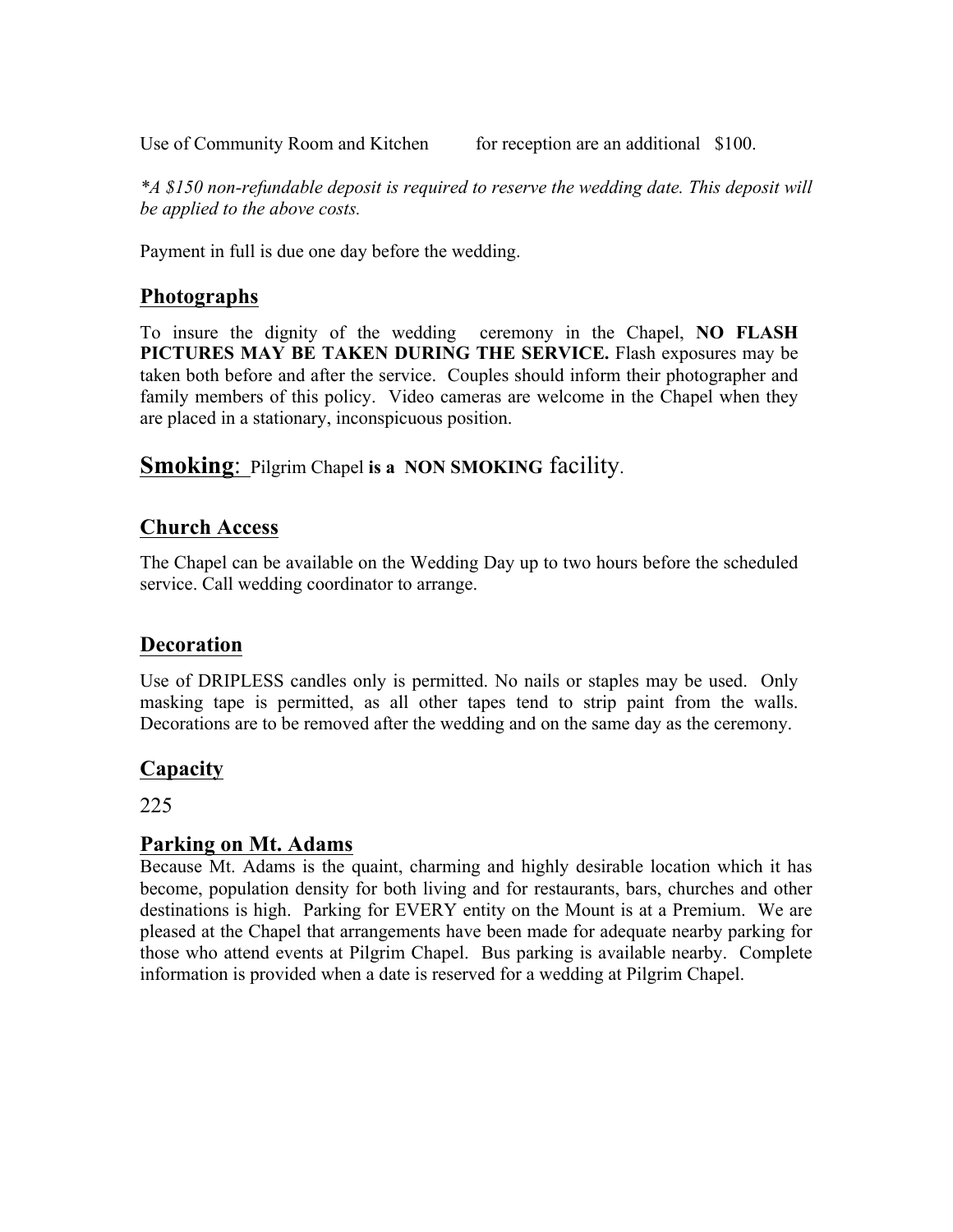Use of Community Room and Kitchen for reception are an additional \$100.

*\*A \$150 non-refundable deposit is required to reserve the wedding date. This deposit will be applied to the above costs.*

Payment in full is due one day before the wedding.

## **Photographs**

To insure the dignity of the wedding ceremony in the Chapel, **NO FLASH PICTURES MAY BE TAKEN DURING THE SERVICE.** Flash exposures may be taken both before and after the service. Couples should inform their photographer and family members of this policy. Video cameras are welcome in the Chapel when they are placed in a stationary, inconspicuous position.

**Smoking**: Pilgrim Chapel **is a NON SMOKING** facility.

## **Church Access**

The Chapel can be available on the Wedding Day up to two hours before the scheduled service. Call wedding coordinator to arrange.

# **Decoration**

Use of DRIPLESS candles only is permitted. No nails or staples may be used. Only masking tape is permitted, as all other tapes tend to strip paint from the walls. Decorations are to be removed after the wedding and on the same day as the ceremony.

# **Capacity**

225

### **Parking on Mt. Adams**

Because Mt. Adams is the quaint, charming and highly desirable location which it has become, population density for both living and for restaurants, bars, churches and other destinations is high. Parking for EVERY entity on the Mount is at a Premium. We are pleased at the Chapel that arrangements have been made for adequate nearby parking for those who attend events at Pilgrim Chapel. Bus parking is available nearby. Complete information is provided when a date is reserved for a wedding at Pilgrim Chapel.